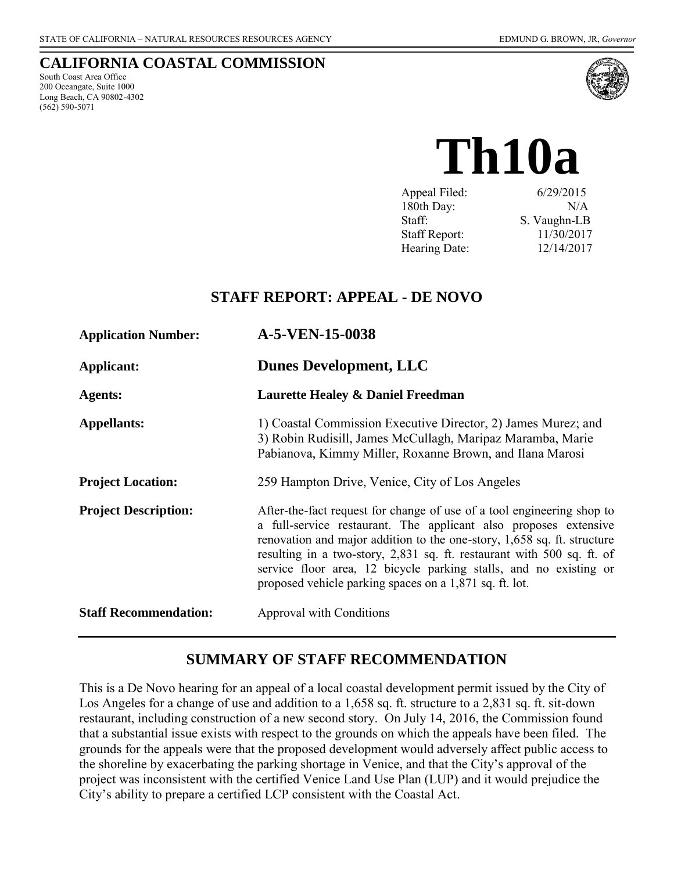#### **CALIFORNIA COASTAL COMMISSION**

South Coast Area Office 200 Oceangate, Suite 1000 Long Beach, CA 90802-4302 (562) 590-5071



# **Th10a**

| Appeal Filed:        | 6/29/2015    |
|----------------------|--------------|
| 180th Day:           | N/A          |
| Staff:               | S. Vaughn-LB |
| <b>Staff Report:</b> | 11/30/2017   |
| Hearing Date:        | 12/14/2017   |

## **STAFF REPORT: APPEAL - DE NOVO**

| <b>Application Number:</b>   | A-5-VEN-15-0038                                                                                                                                                                                                                                                                                                                                                                                                                 |  |
|------------------------------|---------------------------------------------------------------------------------------------------------------------------------------------------------------------------------------------------------------------------------------------------------------------------------------------------------------------------------------------------------------------------------------------------------------------------------|--|
| Applicant:                   | <b>Dunes Development, LLC</b>                                                                                                                                                                                                                                                                                                                                                                                                   |  |
| <b>Agents:</b>               | <b>Laurette Healey &amp; Daniel Freedman</b>                                                                                                                                                                                                                                                                                                                                                                                    |  |
| <b>Appellants:</b>           | 1) Coastal Commission Executive Director, 2) James Murez; and<br>3) Robin Rudisill, James McCullagh, Maripaz Maramba, Marie<br>Pabianova, Kimmy Miller, Roxanne Brown, and Ilana Marosi                                                                                                                                                                                                                                         |  |
| <b>Project Location:</b>     | 259 Hampton Drive, Venice, City of Los Angeles                                                                                                                                                                                                                                                                                                                                                                                  |  |
| <b>Project Description:</b>  | After-the-fact request for change of use of a tool engineering shop to<br>a full-service restaurant. The applicant also proposes extensive<br>renovation and major addition to the one-story, 1,658 sq. ft. structure<br>resulting in a two-story, 2,831 sq. ft. restaurant with 500 sq. ft. of<br>service floor area, 12 bicycle parking stalls, and no existing or<br>proposed vehicle parking spaces on a 1,871 sq. ft. lot. |  |
| <b>Staff Recommendation:</b> | Approval with Conditions                                                                                                                                                                                                                                                                                                                                                                                                        |  |

## **SUMMARY OF STAFF RECOMMENDATION**

This is a De Novo hearing for an appeal of a local coastal development permit issued by the City of Los Angeles for a change of use and addition to a 1,658 sq. ft. structure to a 2,831 sq. ft. sit-down restaurant, including construction of a new second story. On July 14, 2016, the Commission found that a substantial issue exists with respect to the grounds on which the appeals have been filed. The grounds for the appeals were that the proposed development would adversely affect public access to the shoreline by exacerbating the parking shortage in Venice, and that the City's approval of the project was inconsistent with the certified Venice Land Use Plan (LUP) and it would prejudice the City's ability to prepare a certified LCP consistent with the Coastal Act.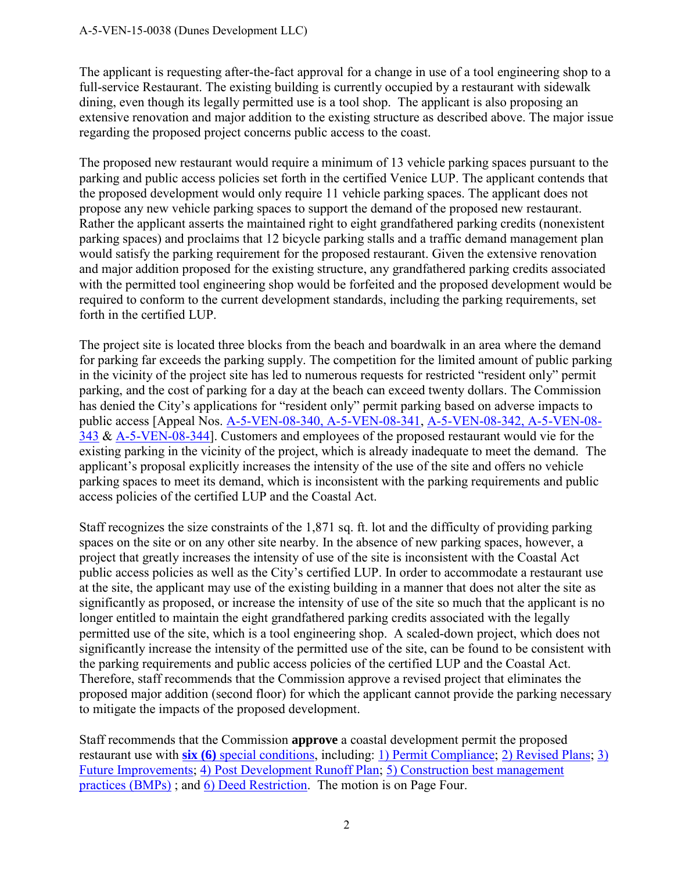The applicant is requesting after-the-fact approval for a change in use of a tool engineering shop to a full-service Restaurant. The existing building is currently occupied by a restaurant with sidewalk dining, even though its legally permitted use is a tool shop. The applicant is also proposing an extensive renovation and major addition to the existing structure as described above. The major issue regarding the proposed project concerns public access to the coast.

The proposed new restaurant would require a minimum of 13 vehicle parking spaces pursuant to the parking and public access policies set forth in the certified Venice LUP. The applicant contends that the proposed development would only require 11 vehicle parking spaces. The applicant does not propose any new vehicle parking spaces to support the demand of the proposed new restaurant. Rather the applicant asserts the maintained right to eight grandfathered parking credits (nonexistent parking spaces) and proclaims that 12 bicycle parking stalls and a traffic demand management plan would satisfy the parking requirement for the proposed restaurant. Given the extensive renovation and major addition proposed for the existing structure, any grandfathered parking credits associated with the permitted tool engineering shop would be forfeited and the proposed development would be required to conform to the current development standards, including the parking requirements, set forth in the certified LUP.

The project site is located three blocks from the beach and boardwalk in an area where the demand for parking far exceeds the parking supply. The competition for the limited amount of public parking in the vicinity of the project site has led to numerous requests for restricted "resident only" permit parking, and the cost of parking for a day at the beach can exceed twenty dollars. The Commission has denied the City's applications for "resident only" permit parking based on adverse impacts to public access [Appeal Nos. [A-5-VEN-08-340, A-5-VEN-08-341,](https://documents.coastal.ca.gov/reports/2009/6/Th9b-s-6-2009.pdf) [A-5-VEN-08-342, A-5-VEN-08-](https://documents.coastal.ca.gov/reports/2009/6/Th9d-s-6-2009.pdf) [343](https://documents.coastal.ca.gov/reports/2009/6/Th9d-s-6-2009.pdf) & [A-5-VEN-08-344\]](https://documents.coastal.ca.gov/reports/2009/6/Th9b-s-6-2009.pdf). Customers and employees of the proposed restaurant would vie for the existing parking in the vicinity of the project, which is already inadequate to meet the demand. The applicant's proposal explicitly increases the intensity of the use of the site and offers no vehicle parking spaces to meet its demand, which is inconsistent with the parking requirements and public access policies of the certified LUP and the Coastal Act.

Staff recognizes the size constraints of the 1,871 sq. ft. lot and the difficulty of providing parking spaces on the site or on any other site nearby. In the absence of new parking spaces, however, a project that greatly increases the intensity of use of the site is inconsistent with the Coastal Act public access policies as well as the City's certified LUP. In order to accommodate a restaurant use at the site, the applicant may use of the existing building in a manner that does not alter the site as significantly as proposed, or increase the intensity of use of the site so much that the applicant is no longer entitled to maintain the eight grandfathered parking credits associated with the legally permitted use of the site, which is a tool engineering shop. A scaled-down project, which does not significantly increase the intensity of the permitted use of the site, can be found to be consistent with the parking requirements and public access policies of the certified LUP and the Coastal Act. Therefore, staff recommends that the Commission approve a revised project that eliminates the proposed major addition (second floor) for which the applicant cannot provide the parking necessary to mitigate the impacts of the proposed development.

Staff recommends that the Commission **approve** a coastal development permit the proposed restaurant use with **six (6)** [special conditions,](#page-4-0) including: [1\) Permit Compliance;](#page-4-1) [2\) Revised Plans;](#page-4-2) [3\)](#page-4-3)  [Future Improvements;](#page-4-3) [4\) Post Development Runoff Plan;](#page-5-0) [5\) Construction best management](#page-6-0)  [practices \(BMPs\)](#page-6-0) ; and [6\) Deed Restriction.](#page-7-0) The motion is on Page Four.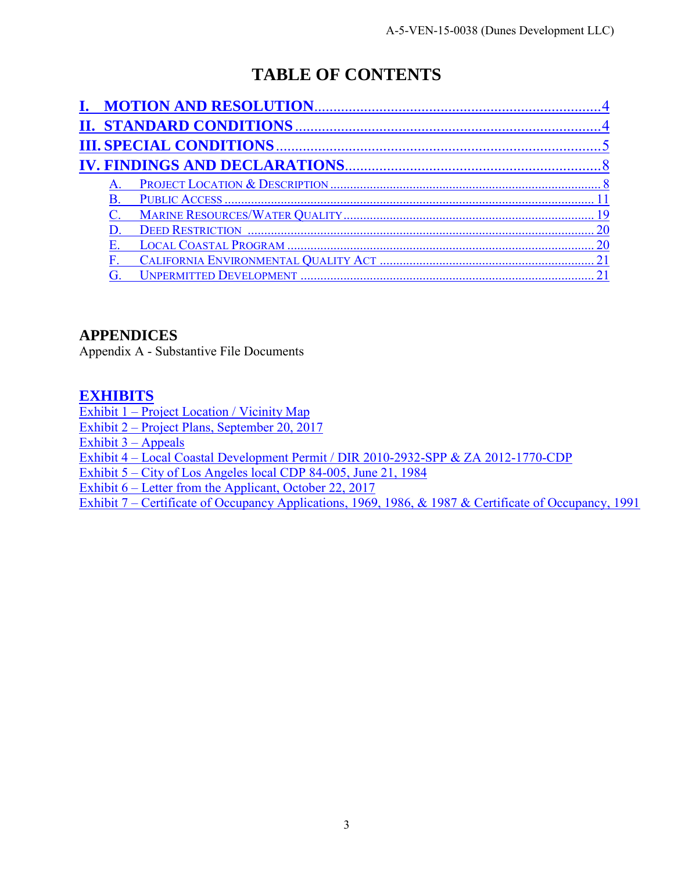## **TABLE OF CONTENTS**

|  | <b>DEED RESTRICTION</b>        |
|--|--------------------------------|
|  |                                |
|  |                                |
|  | <b>UNPERMITTED DEVELOPMENT</b> |

## **[APPENDICES](#page-21-0)**

[Appendix A - Substantive File Documents](#page-21-0)

#### **[EXHIBITS](https://documents.coastal.ca.gov/reports/2017/12/Th10a/Th10a-12-2017-exhibits.pdf)**

[Exhibit 1 – Project Location / Vicinity Map](https://documents.coastal.ca.gov/reports/2017/12/Th10a/Th10a-12-2017-exhibits.pdf)

[Exhibit 2 – Project Plans, September 20, 2017](https://documents.coastal.ca.gov/reports/2017/12/Th10a/Th10a-12-2017-exhibits.pdf)

Exhibit  $3 -$  Appeals

[Exhibit 4 – Local Coastal Development Permit / DIR 2010-2932-SPP & ZA 2012-1770-CDP](https://documents.coastal.ca.gov/reports/2017/12/Th10a/Th10a-12-2017-exhibits.pdf)

[Exhibit 5 – City of Los Angeles local CDP 84-005, June 21, 1984](https://documents.coastal.ca.gov/reports/2017/12/Th10a/Th10a-12-2017-exhibits.pdf) 

[Exhibit 6 – Letter from the Applicant, October 22, 2017](https://documents.coastal.ca.gov/reports/2017/12/Th10a/Th10a-12-2017-exhibits.pdf)

Exhibit 7 – [Certificate of Occupancy Applications, 1969, 1986, & 1987 & Certificate of Occupancy, 1991](https://documents.coastal.ca.gov/reports/2017/12/Th10a/Th10a-12-2017-exhibits.pdf)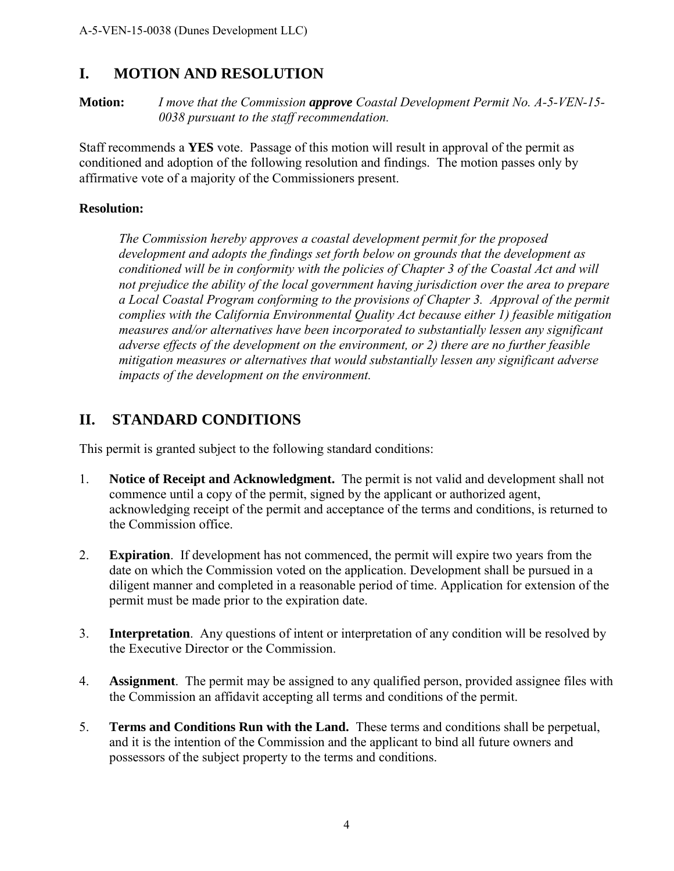## <span id="page-3-0"></span>**I. MOTION AND RESOLUTION**

**Motion:** *I move that the Commission approve Coastal Development Permit No. A-5-VEN-15- 0038 pursuant to the staff recommendation.*

Staff recommends a **YES** vote. Passage of this motion will result in approval of the permit as conditioned and adoption of the following resolution and findings. The motion passes only by affirmative vote of a majority of the Commissioners present.

#### **Resolution:**

*The Commission hereby approves a coastal development permit for the proposed development and adopts the findings set forth below on grounds that the development as conditioned will be in conformity with the policies of Chapter 3 of the Coastal Act and will not prejudice the ability of the local government having jurisdiction over the area to prepare a Local Coastal Program conforming to the provisions of Chapter 3. Approval of the permit complies with the California Environmental Quality Act because either 1) feasible mitigation measures and/or alternatives have been incorporated to substantially lessen any significant adverse effects of the development on the environment, or 2) there are no further feasible mitigation measures or alternatives that would substantially lessen any significant adverse impacts of the development on the environment.* 

## <span id="page-3-1"></span>**II. STANDARD CONDITIONS**

This permit is granted subject to the following standard conditions:

- 1. **Notice of Receipt and Acknowledgment.** The permit is not valid and development shall not commence until a copy of the permit, signed by the applicant or authorized agent, acknowledging receipt of the permit and acceptance of the terms and conditions, is returned to the Commission office.
- 2. **Expiration**. If development has not commenced, the permit will expire two years from the date on which the Commission voted on the application. Development shall be pursued in a diligent manner and completed in a reasonable period of time. Application for extension of the permit must be made prior to the expiration date.
- 3. **Interpretation**. Any questions of intent or interpretation of any condition will be resolved by the Executive Director or the Commission.
- 4. **Assignment**. The permit may be assigned to any qualified person, provided assignee files with the Commission an affidavit accepting all terms and conditions of the permit.
- 5. **Terms and Conditions Run with the Land.** These terms and conditions shall be perpetual, and it is the intention of the Commission and the applicant to bind all future owners and possessors of the subject property to the terms and conditions.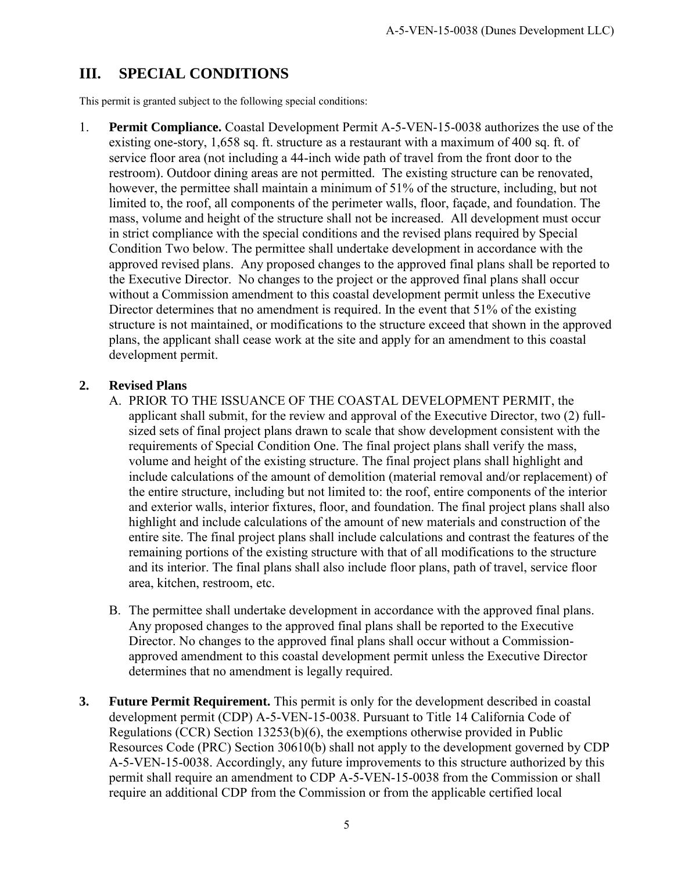## <span id="page-4-0"></span>**III. SPECIAL CONDITIONS**

This permit is granted subject to the following special conditions:

<span id="page-4-1"></span>1. **Permit Compliance.** Coastal Development Permit A-5-VEN-15-0038 authorizes the use of the existing one-story, 1,658 sq. ft. structure as a restaurant with a maximum of 400 sq. ft. of service floor area (not including a 44-inch wide path of travel from the front door to the restroom). Outdoor dining areas are not permitted. The existing structure can be renovated, however, the permittee shall maintain a minimum of 51% of the structure, including, but not limited to, the roof, all components of the perimeter walls, floor, façade, and foundation. The mass, volume and height of the structure shall not be increased. All development must occur in strict compliance with the special conditions and the revised plans required by Special Condition Two below. The permittee shall undertake development in accordance with the approved revised plans. Any proposed changes to the approved final plans shall be reported to the Executive Director. No changes to the project or the approved final plans shall occur without a Commission amendment to this coastal development permit unless the Executive Director determines that no amendment is required. In the event that 51% of the existing structure is not maintained, or modifications to the structure exceed that shown in the approved plans, the applicant shall cease work at the site and apply for an amendment to this coastal development permit.

#### <span id="page-4-2"></span>**2. Revised Plans**

- A. PRIOR TO THE ISSUANCE OF THE COASTAL DEVELOPMENT PERMIT, the applicant shall submit, for the review and approval of the Executive Director, two (2) fullsized sets of final project plans drawn to scale that show development consistent with the requirements of Special Condition One. The final project plans shall verify the mass, volume and height of the existing structure. The final project plans shall highlight and include calculations of the amount of demolition (material removal and/or replacement) of the entire structure, including but not limited to: the roof, entire components of the interior and exterior walls, interior fixtures, floor, and foundation. The final project plans shall also highlight and include calculations of the amount of new materials and construction of the entire site. The final project plans shall include calculations and contrast the features of the remaining portions of the existing structure with that of all modifications to the structure and its interior. The final plans shall also include floor plans, path of travel, service floor area, kitchen, restroom, etc.
- B. The permittee shall undertake development in accordance with the approved final plans. Any proposed changes to the approved final plans shall be reported to the Executive Director. No changes to the approved final plans shall occur without a Commissionapproved amendment to this coastal development permit unless the Executive Director determines that no amendment is legally required.
- <span id="page-4-3"></span>**3. Future Permit Requirement.** This permit is only for the development described in coastal development permit (CDP) A-5-VEN-15-0038. Pursuant to Title 14 California Code of Regulations (CCR) Section 13253(b)(6), the exemptions otherwise provided in Public Resources Code (PRC) Section 30610(b) shall not apply to the development governed by CDP A-5-VEN-15-0038. Accordingly, any future improvements to this structure authorized by this permit shall require an amendment to CDP A-5-VEN-15-0038 from the Commission or shall require an additional CDP from the Commission or from the applicable certified local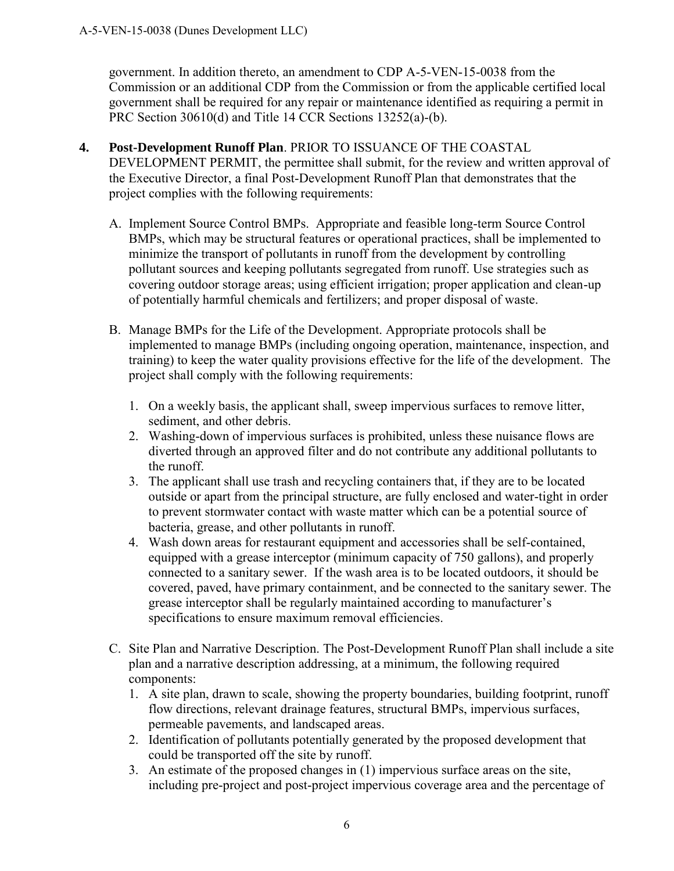government. In addition thereto, an amendment to CDP A-5-VEN-15-0038 from the Commission or an additional CDP from the Commission or from the applicable certified local government shall be required for any repair or maintenance identified as requiring a permit in PRC Section 30610(d) and Title 14 CCR Sections 13252(a)-(b).

- <span id="page-5-0"></span>**4. Post-Development Runoff Plan**. PRIOR TO ISSUANCE OF THE COASTAL DEVELOPMENT PERMIT, the permittee shall submit, for the review and written approval of the Executive Director, a final Post-Development Runoff Plan that demonstrates that the project complies with the following requirements:
	- A. Implement Source Control BMPs. Appropriate and feasible long-term Source Control BMPs, which may be structural features or operational practices, shall be implemented to minimize the transport of pollutants in runoff from the development by controlling pollutant sources and keeping pollutants segregated from runoff. Use strategies such as covering outdoor storage areas; using efficient irrigation; proper application and clean-up of potentially harmful chemicals and fertilizers; and proper disposal of waste.
	- B. Manage BMPs for the Life of the Development. Appropriate protocols shall be implemented to manage BMPs (including ongoing operation, maintenance, inspection, and training) to keep the water quality provisions effective for the life of the development. The project shall comply with the following requirements:
		- 1. On a weekly basis, the applicant shall, sweep impervious surfaces to remove litter, sediment, and other debris.
		- 2. Washing-down of impervious surfaces is prohibited, unless these nuisance flows are diverted through an approved filter and do not contribute any additional pollutants to the runoff.
		- 3. The applicant shall use trash and recycling containers that, if they are to be located outside or apart from the principal structure, are fully enclosed and water-tight in order to prevent stormwater contact with waste matter which can be a potential source of bacteria, grease, and other pollutants in runoff.
		- 4. Wash down areas for restaurant equipment and accessories shall be self-contained, equipped with a grease interceptor (minimum capacity of 750 gallons), and properly connected to a sanitary sewer. If the wash area is to be located outdoors, it should be covered, paved, have primary containment, and be connected to the sanitary sewer. The grease interceptor shall be regularly maintained according to manufacturer's specifications to ensure maximum removal efficiencies.
	- C. Site Plan and Narrative Description. The Post-Development Runoff Plan shall include a site plan and a narrative description addressing, at a minimum, the following required components:
		- 1. A site plan, drawn to scale, showing the property boundaries, building footprint, runoff flow directions, relevant drainage features, structural BMPs, impervious surfaces, permeable pavements, and landscaped areas.
		- 2. Identification of pollutants potentially generated by the proposed development that could be transported off the site by runoff.
		- 3. An estimate of the proposed changes in (1) impervious surface areas on the site, including pre-project and post-project impervious coverage area and the percentage of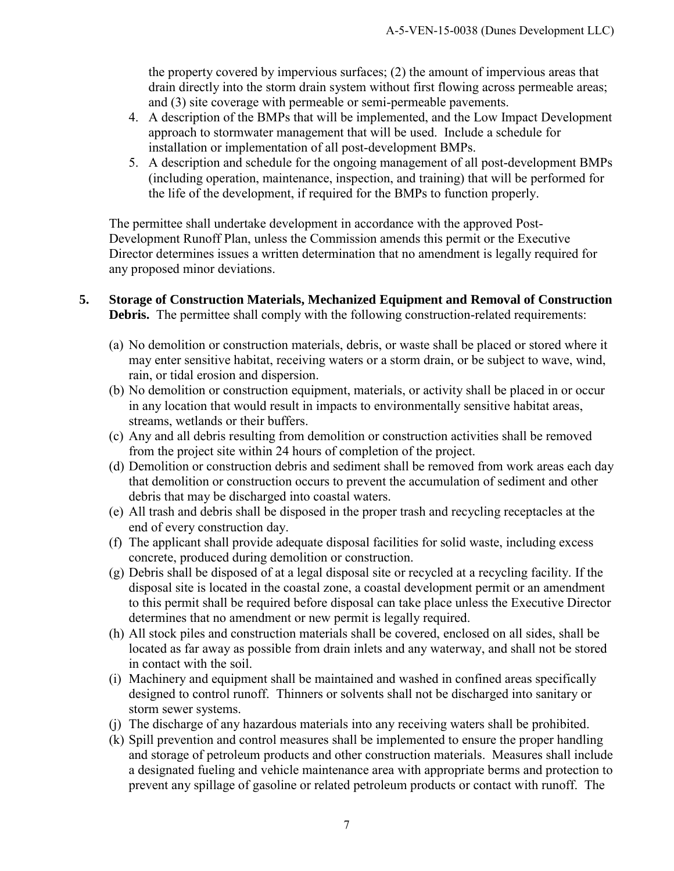the property covered by impervious surfaces; (2) the amount of impervious areas that drain directly into the storm drain system without first flowing across permeable areas; and (3) site coverage with permeable or semi-permeable pavements.

- 4. A description of the BMPs that will be implemented, and the Low Impact Development approach to stormwater management that will be used. Include a schedule for installation or implementation of all post-development BMPs.
- 5. A description and schedule for the ongoing management of all post-development BMPs (including operation, maintenance, inspection, and training) that will be performed for the life of the development, if required for the BMPs to function properly.

The permittee shall undertake development in accordance with the approved Post-Development Runoff Plan, unless the Commission amends this permit or the Executive Director determines issues a written determination that no amendment is legally required for any proposed minor deviations.

#### <span id="page-6-0"></span>**5. Storage of Construction Materials, Mechanized Equipment and Removal of Construction Debris.** The permittee shall comply with the following construction-related requirements:

- (a) No demolition or construction materials, debris, or waste shall be placed or stored where it may enter sensitive habitat, receiving waters or a storm drain, or be subject to wave, wind, rain, or tidal erosion and dispersion.
- (b) No demolition or construction equipment, materials, or activity shall be placed in or occur in any location that would result in impacts to environmentally sensitive habitat areas, streams, wetlands or their buffers.
- (c) Any and all debris resulting from demolition or construction activities shall be removed from the project site within 24 hours of completion of the project.
- (d) Demolition or construction debris and sediment shall be removed from work areas each day that demolition or construction occurs to prevent the accumulation of sediment and other debris that may be discharged into coastal waters.
- (e) All trash and debris shall be disposed in the proper trash and recycling receptacles at the end of every construction day.
- (f) The applicant shall provide adequate disposal facilities for solid waste, including excess concrete, produced during demolition or construction.
- (g) Debris shall be disposed of at a legal disposal site or recycled at a recycling facility. If the disposal site is located in the coastal zone, a coastal development permit or an amendment to this permit shall be required before disposal can take place unless the Executive Director determines that no amendment or new permit is legally required.
- (h) All stock piles and construction materials shall be covered, enclosed on all sides, shall be located as far away as possible from drain inlets and any waterway, and shall not be stored in contact with the soil.
- (i) Machinery and equipment shall be maintained and washed in confined areas specifically designed to control runoff. Thinners or solvents shall not be discharged into sanitary or storm sewer systems.
- (j) The discharge of any hazardous materials into any receiving waters shall be prohibited.
- (k) Spill prevention and control measures shall be implemented to ensure the proper handling and storage of petroleum products and other construction materials. Measures shall include a designated fueling and vehicle maintenance area with appropriate berms and protection to prevent any spillage of gasoline or related petroleum products or contact with runoff. The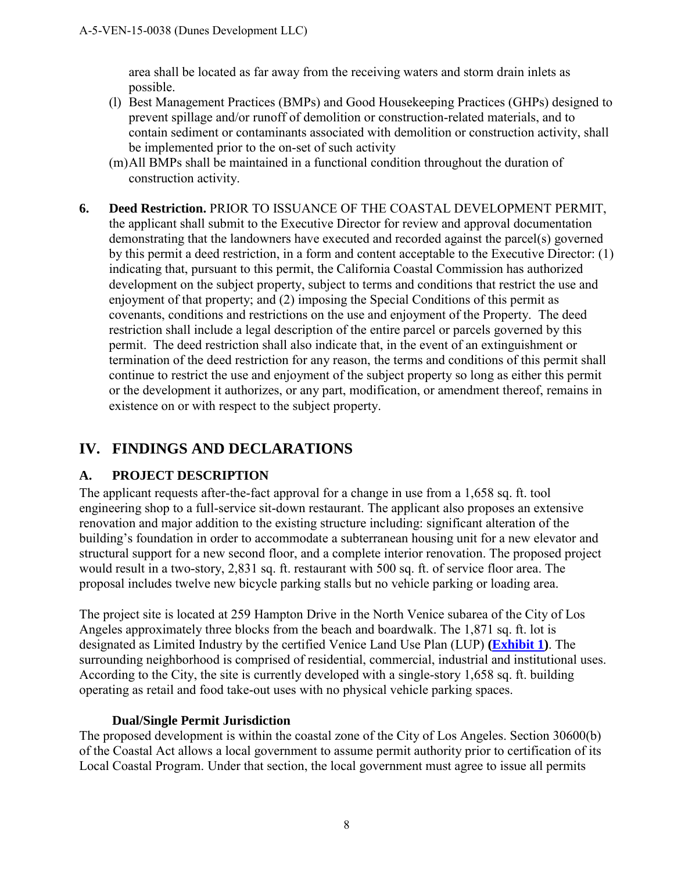area shall be located as far away from the receiving waters and storm drain inlets as possible.

- (l) Best Management Practices (BMPs) and Good Housekeeping Practices (GHPs) designed to prevent spillage and/or runoff of demolition or construction-related materials, and to contain sediment or contaminants associated with demolition or construction activity, shall be implemented prior to the on-set of such activity
- (m) All BMPs shall be maintained in a functional condition throughout the duration of construction activity.
- <span id="page-7-0"></span>**6. Deed Restriction.** PRIOR TO ISSUANCE OF THE COASTAL DEVELOPMENT PERMIT, the applicant shall submit to the Executive Director for review and approval documentation demonstrating that the landowners have executed and recorded against the parcel(s) governed by this permit a deed restriction, in a form and content acceptable to the Executive Director: (1) indicating that, pursuant to this permit, the California Coastal Commission has authorized development on the subject property, subject to terms and conditions that restrict the use and enjoyment of that property; and (2) imposing the Special Conditions of this permit as covenants, conditions and restrictions on the use and enjoyment of the Property. The deed restriction shall include a legal description of the entire parcel or parcels governed by this permit. The deed restriction shall also indicate that, in the event of an extinguishment or termination of the deed restriction for any reason, the terms and conditions of this permit shall continue to restrict the use and enjoyment of the subject property so long as either this permit or the development it authorizes, or any part, modification, or amendment thereof, remains in existence on or with respect to the subject property.

## <span id="page-7-1"></span>**IV. FINDINGS AND DECLARATIONS**

#### <span id="page-7-2"></span>**A. PROJECT DESCRIPTION**

The applicant requests after-the-fact approval for a change in use from a 1,658 sq. ft. tool engineering shop to a full-service sit-down restaurant. The applicant also proposes an extensive renovation and major addition to the existing structure including: significant alteration of the building's foundation in order to accommodate a subterranean housing unit for a new elevator and structural support for a new second floor, and a complete interior renovation. The proposed project would result in a two-story, 2,831 sq. ft. restaurant with 500 sq. ft. of service floor area. The proposal includes twelve new bicycle parking stalls but no vehicle parking or loading area.

The project site is located at 259 Hampton Drive in the North Venice subarea of the City of Los Angeles approximately three blocks from the beach and boardwalk. The 1,871 sq. ft. lot is designated as Limited Industry by the certified Venice Land Use Plan (LUP) **[\(Exhibit 1\)](https://documents.coastal.ca.gov/reports/2017/12/Th10a/Th10a-12-2017-exhibits.pdf)**. The surrounding neighborhood is comprised of residential, commercial, industrial and institutional uses. According to the City, the site is currently developed with a single-story 1,658 sq. ft. building operating as retail and food take-out uses with no physical vehicle parking spaces.

#### **Dual/Single Permit Jurisdiction**

The proposed development is within the coastal zone of the City of Los Angeles. Section 30600(b) of the Coastal Act allows a local government to assume permit authority prior to certification of its Local Coastal Program. Under that section, the local government must agree to issue all permits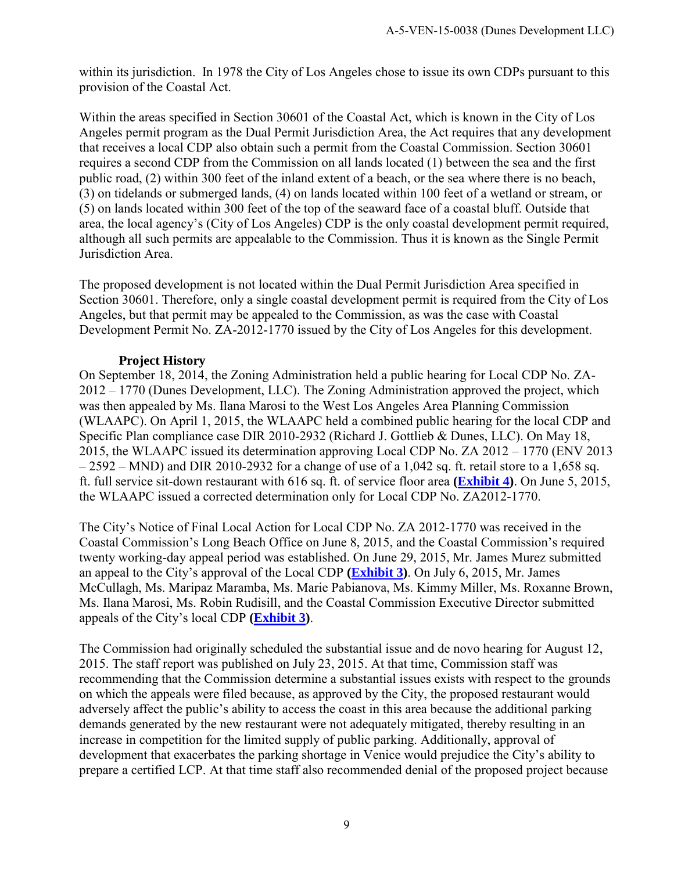within its jurisdiction. In 1978 the City of Los Angeles chose to issue its own CDPs pursuant to this provision of the Coastal Act.

Within the areas specified in Section 30601 of the Coastal Act, which is known in the City of Los Angeles permit program as the Dual Permit Jurisdiction Area, the Act requires that any development that receives a local CDP also obtain such a permit from the Coastal Commission. Section 30601 requires a second CDP from the Commission on all lands located (1) between the sea and the first public road, (2) within 300 feet of the inland extent of a beach, or the sea where there is no beach, (3) on tidelands or submerged lands, (4) on lands located within 100 feet of a wetland or stream, or (5) on lands located within 300 feet of the top of the seaward face of a coastal bluff. Outside that area, the local agency's (City of Los Angeles) CDP is the only coastal development permit required, although all such permits are appealable to the Commission. Thus it is known as the Single Permit Jurisdiction Area.

The proposed development is not located within the Dual Permit Jurisdiction Area specified in Section 30601. Therefore, only a single coastal development permit is required from the City of Los Angeles, but that permit may be appealed to the Commission, as was the case with Coastal Development Permit No. ZA-2012-1770 issued by the City of Los Angeles for this development.

#### **Project History**

On September 18, 2014, the Zoning Administration held a public hearing for Local CDP No. ZA-2012 – 1770 (Dunes Development, LLC). The Zoning Administration approved the project, which was then appealed by Ms. Ilana Marosi to the West Los Angeles Area Planning Commission (WLAAPC). On April 1, 2015, the WLAAPC held a combined public hearing for the local CDP and Specific Plan compliance case DIR 2010-2932 (Richard J. Gottlieb & Dunes, LLC). On May 18, 2015, the WLAAPC issued its determination approving Local CDP No. ZA 2012 – 1770 (ENV 2013  $-2592 - MND$ ) and DIR 2010-2932 for a change of use of a 1,042 sq. ft. retail store to a 1,658 sq. ft. full service sit-down restaurant with 616 sq. ft. of service floor area **[\(Exhibit 4\)](https://documents.coastal.ca.gov/reports/2017/12/Th10a/Th10a-12-2017-exhibits.pdf)**. On June 5, 2015, the WLAAPC issued a corrected determination only for Local CDP No. ZA2012-1770.

The City's Notice of Final Local Action for Local CDP No. ZA 2012-1770 was received in the Coastal Commission's Long Beach Office on June 8, 2015, and the Coastal Commission's required twenty working-day appeal period was established. On June 29, 2015, Mr. James Murez submitted an appeal to the City's approval of the Local CDP **[\(Exhibit 3\)](https://documents.coastal.ca.gov/reports/2017/12/Th10a/Th10a-12-2017-exhibits.pdf)**. On July 6, 2015, Mr. James McCullagh, Ms. Maripaz Maramba, Ms. Marie Pabianova, Ms. Kimmy Miller, Ms. Roxanne Brown, Ms. Ilana Marosi, Ms. Robin Rudisill, and the Coastal Commission Executive Director submitted appeals of the City's local CDP **[\(Exhibit 3\)](https://documents.coastal.ca.gov/reports/2017/12/Th10a/Th10a-12-2017-exhibits.pdf)**.

The Commission had originally scheduled the substantial issue and de novo hearing for August 12, 2015. The staff report was published on July 23, 2015. At that time, Commission staff was recommending that the Commission determine a substantial issues exists with respect to the grounds on which the appeals were filed because, as approved by the City, the proposed restaurant would adversely affect the public's ability to access the coast in this area because the additional parking demands generated by the new restaurant were not adequately mitigated, thereby resulting in an increase in competition for the limited supply of public parking. Additionally, approval of development that exacerbates the parking shortage in Venice would prejudice the City's ability to prepare a certified LCP. At that time staff also recommended denial of the proposed project because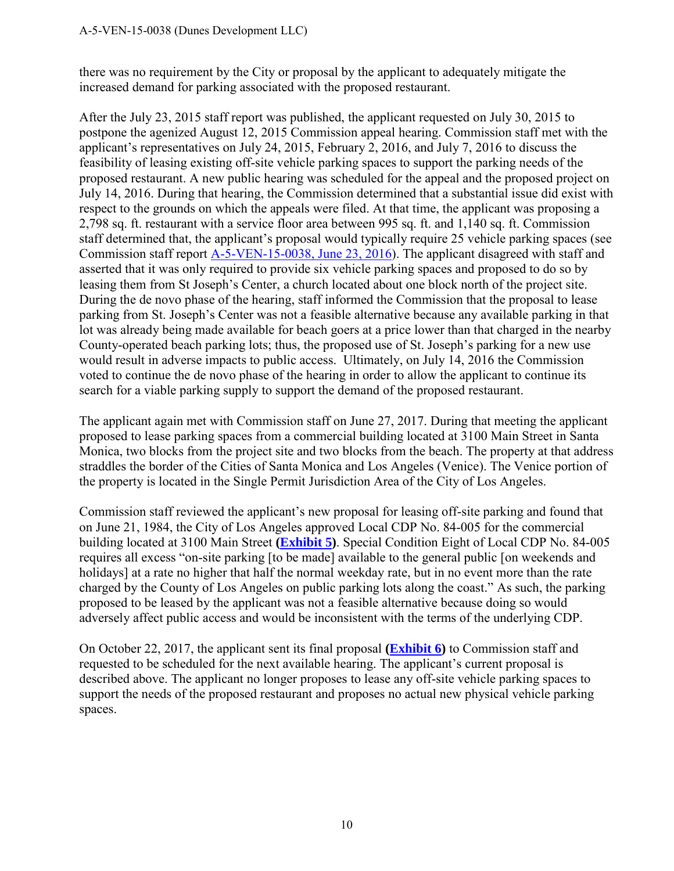#### A-5-VEN-15-0038 (Dunes Development LLC)

there was no requirement by the City or proposal by the applicant to adequately mitigate the increased demand for parking associated with the proposed restaurant.

After the July 23, 2015 staff report was published, the applicant requested on July 30, 2015 to postpone the agenized August 12, 2015 Commission appeal hearing. Commission staff met with the applicant's representatives on July 24, 2015, February 2, 2016, and July 7, 2016 to discuss the feasibility of leasing existing off-site vehicle parking spaces to support the parking needs of the proposed restaurant. A new public hearing was scheduled for the appeal and the proposed project on July 14, 2016. During that hearing, the Commission determined that a substantial issue did exist with respect to the grounds on which the appeals were filed. At that time, the applicant was proposing a 2,798 sq. ft. restaurant with a service floor area between 995 sq. ft. and 1,140 sq. ft. Commission staff determined that, the applicant's proposal would typically require 25 vehicle parking spaces (see Commission staff report [A-5-VEN-15-0038, June 23, 2016\)](https://documents.coastal.ca.gov/reports/2016/7/th24a-7-2016.pdf). The applicant disagreed with staff and asserted that it was only required to provide six vehicle parking spaces and proposed to do so by leasing them from St Joseph's Center, a church located about one block north of the project site. During the de novo phase of the hearing, staff informed the Commission that the proposal to lease parking from St. Joseph's Center was not a feasible alternative because any available parking in that lot was already being made available for beach goers at a price lower than that charged in the nearby County-operated beach parking lots; thus, the proposed use of St. Joseph's parking for a new use would result in adverse impacts to public access. Ultimately, on July 14, 2016 the Commission voted to continue the de novo phase of the hearing in order to allow the applicant to continue its search for a viable parking supply to support the demand of the proposed restaurant.

The applicant again met with Commission staff on June 27, 2017. During that meeting the applicant proposed to lease parking spaces from a commercial building located at 3100 Main Street in Santa Monica, two blocks from the project site and two blocks from the beach. The property at that address straddles the border of the Cities of Santa Monica and Los Angeles (Venice). The Venice portion of the property is located in the Single Permit Jurisdiction Area of the City of Los Angeles.

Commission staff reviewed the applicant's new proposal for leasing off-site parking and found that on June 21, 1984, the City of Los Angeles approved Local CDP No. 84-005 for the commercial building located at 3100 Main Street **[\(Exhibit 5\)](https://documents.coastal.ca.gov/reports/2017/12/Th10a/Th10a-12-2017-exhibits.pdf)**. Special Condition Eight of Local CDP No. 84-005 requires all excess "on-site parking [to be made] available to the general public [on weekends and holidays] at a rate no higher that half the normal weekday rate, but in no event more than the rate charged by the County of Los Angeles on public parking lots along the coast." As such, the parking proposed to be leased by the applicant was not a feasible alternative because doing so would adversely affect public access and would be inconsistent with the terms of the underlying CDP.

On October 22, 2017, the applicant sent its final proposal **[\(Exhibit 6\)](https://documents.coastal.ca.gov/reports/2017/12/Th10a/Th10a-12-2017-exhibits.pdf)** to Commission staff and requested to be scheduled for the next available hearing. The applicant's current proposal is described above. The applicant no longer proposes to lease any off-site vehicle parking spaces to support the needs of the proposed restaurant and proposes no actual new physical vehicle parking spaces.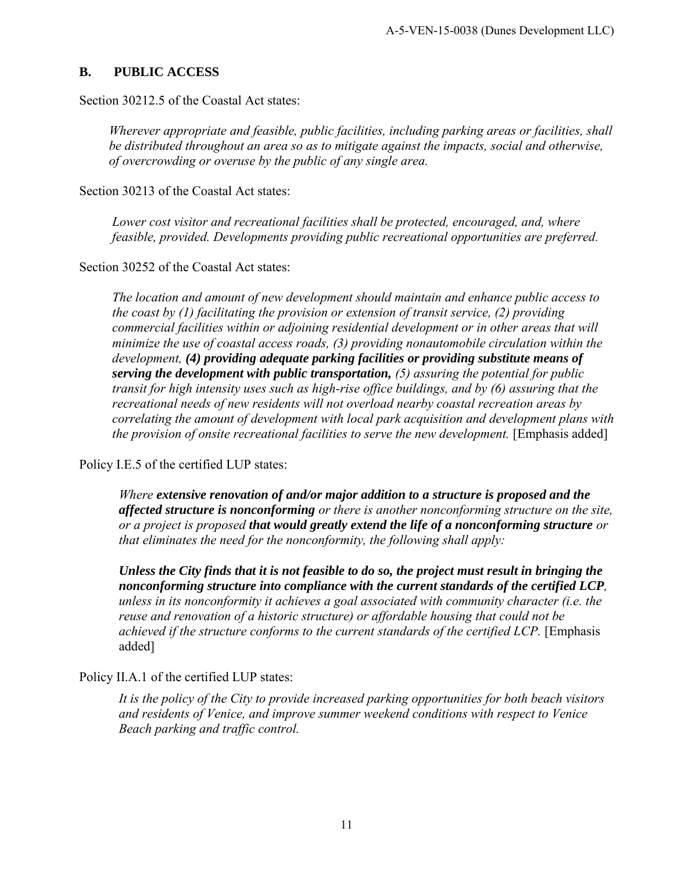#### <span id="page-10-0"></span>**B. PUBLIC ACCESS**

Section 30212.5 of the Coastal Act states:

*Wherever appropriate and feasible, public facilities, including parking areas or facilities, shall be distributed throughout an area so as to mitigate against the impacts, social and otherwise, of overcrowding or overuse by the public of any single area.* 

Section 30213 of the Coastal Act states:

*Lower cost visitor and recreational facilities shall be protected, encouraged, and, where feasible, provided. Developments providing public recreational opportunities are preferred.* 

Section 30252 of the Coastal Act states:

*The location and amount of new development should maintain and enhance public access to the coast by (1) facilitating the provision or extension of transit service, (2) providing commercial facilities within or adjoining residential development or in other areas that will minimize the use of coastal access roads, (3) providing nonautomobile circulation within the development, (4) providing adequate parking facilities or providing substitute means of serving the development with public transportation, (5) assuring the potential for public transit for high intensity uses such as high-rise office buildings, and by (6) assuring that the recreational needs of new residents will not overload nearby coastal recreation areas by correlating the amount of development with local park acquisition and development plans with the provision of onsite recreational facilities to serve the new development.* [Emphasis added]

Policy I.E.5 of the certified LUP states:

*Where extensive renovation of and/or major addition to a structure is proposed and the affected structure is nonconforming or there is another nonconforming structure on the site, or a project is proposed that would greatly extend the life of a nonconforming structure or that eliminates the need for the nonconformity, the following shall apply:* 

*Unless the City finds that it is not feasible to do so, the project must result in bringing the nonconforming structure into compliance with the current standards of the certified LCP, unless in its nonconformity it achieves a goal associated with community character (i.e. the reuse and renovation of a historic structure) or affordable housing that could not be achieved if the structure conforms to the current standards of the certified LCP.* [Emphasis added]

Policy II.A.1 of the certified LUP states:

*It is the policy of the City to provide increased parking opportunities for both beach visitors and residents of Venice, and improve summer weekend conditions with respect to Venice Beach parking and traffic control.*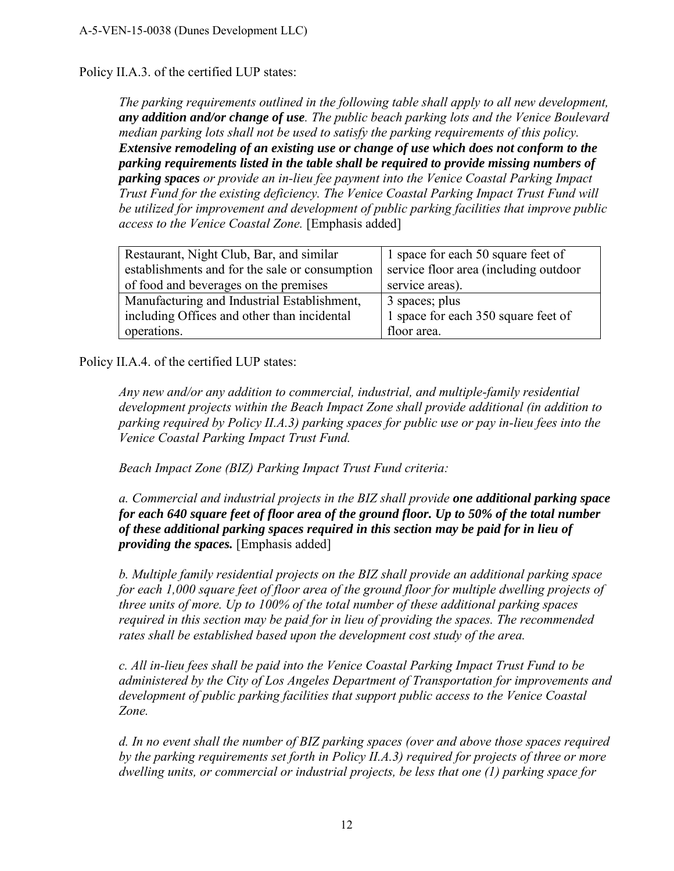#### Policy II.A.3. of the certified LUP states:

*The parking requirements outlined in the following table shall apply to all new development, any addition and/or change of use. The public beach parking lots and the Venice Boulevard median parking lots shall not be used to satisfy the parking requirements of this policy. Extensive remodeling of an existing use or change of use which does not conform to the parking requirements listed in the table shall be required to provide missing numbers of parking spaces or provide an in-lieu fee payment into the Venice Coastal Parking Impact Trust Fund for the existing deficiency. The Venice Coastal Parking Impact Trust Fund will be utilized for improvement and development of public parking facilities that improve public access to the Venice Coastal Zone.* [Emphasis added]

| Restaurant, Night Club, Bar, and similar       | 1 space for each 50 square feet of    |
|------------------------------------------------|---------------------------------------|
| establishments and for the sale or consumption | service floor area (including outdoor |
| of food and beverages on the premises          | service areas).                       |
| Manufacturing and Industrial Establishment,    | 3 spaces; plus                        |
| including Offices and other than incidental    | 1 space for each 350 square feet of   |
| operations.                                    | floor area.                           |

Policy II.A.4. of the certified LUP states:

*Any new and/or any addition to commercial, industrial, and multiple-family residential development projects within the Beach Impact Zone shall provide additional (in addition to parking required by Policy II.A.3) parking spaces for public use or pay in-lieu fees into the Venice Coastal Parking Impact Trust Fund.* 

*Beach Impact Zone (BIZ) Parking Impact Trust Fund criteria:* 

*a. Commercial and industrial projects in the BIZ shall provide one additional parking space for each 640 square feet of floor area of the ground floor. Up to 50% of the total number of these additional parking spaces required in this section may be paid for in lieu of providing the spaces.* [Emphasis added]

*b. Multiple family residential projects on the BIZ shall provide an additional parking space for each 1,000 square feet of floor area of the ground floor for multiple dwelling projects of three units of more. Up to 100% of the total number of these additional parking spaces required in this section may be paid for in lieu of providing the spaces. The recommended rates shall be established based upon the development cost study of the area.* 

*c. All in-lieu fees shall be paid into the Venice Coastal Parking Impact Trust Fund to be administered by the City of Los Angeles Department of Transportation for improvements and development of public parking facilities that support public access to the Venice Coastal Zone.* 

*d. In no event shall the number of BIZ parking spaces (over and above those spaces required by the parking requirements set forth in Policy II.A.3) required for projects of three or more dwelling units, or commercial or industrial projects, be less that one (1) parking space for*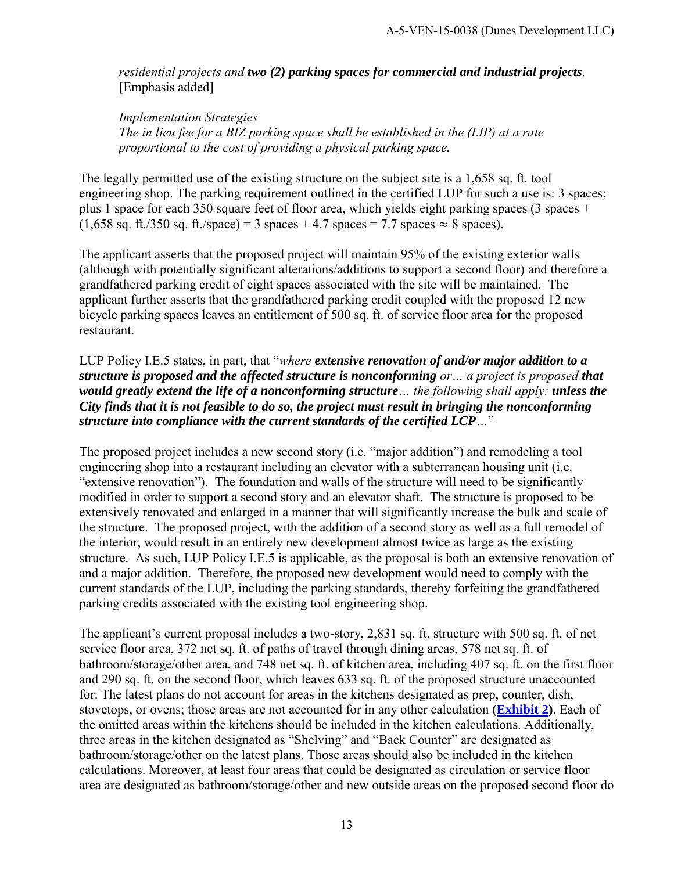*residential projects and two (2) parking spaces for commercial and industrial projects.*  [Emphasis added]

*Implementation Strategies The in lieu fee for a BIZ parking space shall be established in the (LIP) at a rate proportional to the cost of providing a physical parking space.*

The legally permitted use of the existing structure on the subject site is a 1,658 sq. ft. tool engineering shop. The parking requirement outlined in the certified LUP for such a use is: 3 spaces; plus 1 space for each 350 square feet of floor area, which yields eight parking spaces (3 spaces +  $(1,658 \text{ sq. ft.}/350 \text{ sq. ft.}/\text{space}) = 3 \text{ spaces} + 4.7 \text{ spaces} = 7.7 \text{ spaces} \approx 8 \text{ spaces}.$ 

The applicant asserts that the proposed project will maintain 95% of the existing exterior walls (although with potentially significant alterations/additions to support a second floor) and therefore a grandfathered parking credit of eight spaces associated with the site will be maintained. The applicant further asserts that the grandfathered parking credit coupled with the proposed 12 new bicycle parking spaces leaves an entitlement of 500 sq. ft. of service floor area for the proposed restaurant.

LUP Policy I.E.5 states, in part, that "*where extensive renovation of and/or major addition to a structure is proposed and the affected structure is nonconforming or… a project is proposed that would greatly extend the life of a nonconforming structure… the following shall apply: unless the City finds that it is not feasible to do so, the project must result in bringing the nonconforming structure into compliance with the current standards of the certified LCP…*"

The proposed project includes a new second story (i.e. "major addition") and remodeling a tool engineering shop into a restaurant including an elevator with a subterranean housing unit (i.e. "extensive renovation"). The foundation and walls of the structure will need to be significantly modified in order to support a second story and an elevator shaft. The structure is proposed to be extensively renovated and enlarged in a manner that will significantly increase the bulk and scale of the structure. The proposed project, with the addition of a second story as well as a full remodel of the interior, would result in an entirely new development almost twice as large as the existing structure. As such, LUP Policy I.E.5 is applicable, as the proposal is both an extensive renovation of and a major addition. Therefore, the proposed new development would need to comply with the current standards of the LUP, including the parking standards, thereby forfeiting the grandfathered parking credits associated with the existing tool engineering shop.

The applicant's current proposal includes a two-story, 2,831 sq. ft. structure with 500 sq. ft. of net service floor area, 372 net sq. ft. of paths of travel through dining areas, 578 net sq. ft. of bathroom/storage/other area, and 748 net sq. ft. of kitchen area, including 407 sq. ft. on the first floor and 290 sq. ft. on the second floor, which leaves 633 sq. ft. of the proposed structure unaccounted for. The latest plans do not account for areas in the kitchens designated as prep, counter, dish, stovetops, or ovens; those areas are not accounted for in any other calculation **[\(Exhibit 2\)](https://documents.coastal.ca.gov/reports/2017/12/Th10a/Th10a-12-2017-exhibits.pdf)**. Each of the omitted areas within the kitchens should be included in the kitchen calculations. Additionally, three areas in the kitchen designated as "Shelving" and "Back Counter" are designated as bathroom/storage/other on the latest plans. Those areas should also be included in the kitchen calculations. Moreover, at least four areas that could be designated as circulation or service floor area are designated as bathroom/storage/other and new outside areas on the proposed second floor do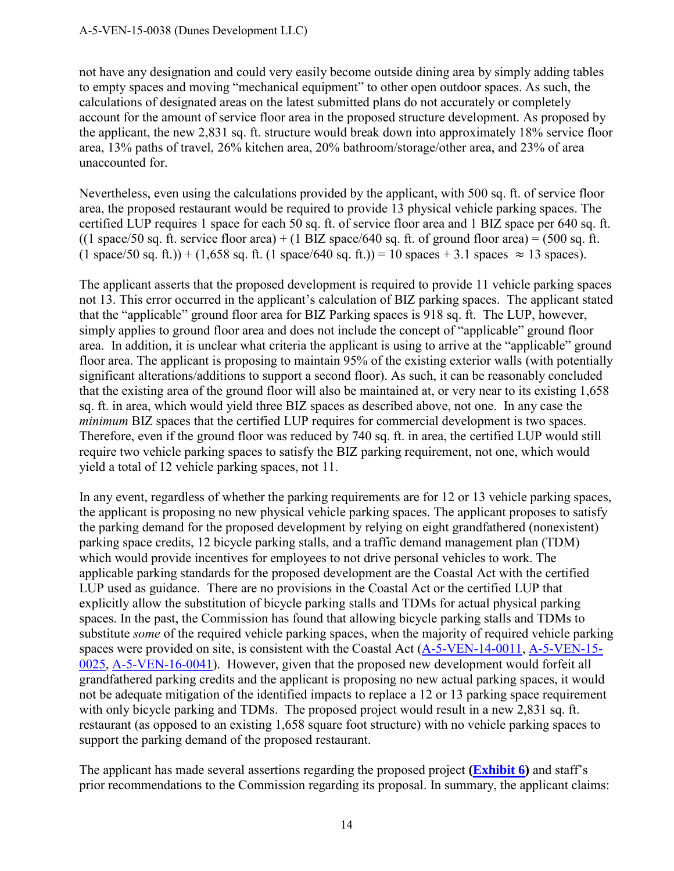not have any designation and could very easily become outside dining area by simply adding tables to empty spaces and moving "mechanical equipment" to other open outdoor spaces. As such, the calculations of designated areas on the latest submitted plans do not accurately or completely account for the amount of service floor area in the proposed structure development. As proposed by the applicant, the new 2,831 sq. ft. structure would break down into approximately 18% service floor area, 13% paths of travel, 26% kitchen area, 20% bathroom/storage/other area, and 23% of area unaccounted for.

Nevertheless, even using the calculations provided by the applicant, with 500 sq. ft. of service floor area, the proposed restaurant would be required to provide 13 physical vehicle parking spaces. The certified LUP requires 1 space for each 50 sq. ft. of service floor area and 1 BIZ space per 640 sq. ft. ((1 space/50 sq. ft. service floor area) + (1 BIZ space/640 sq. ft. of ground floor area) = (500 sq. ft.  $(1 \text{ space}/50 \text{ sq. ft.}) + (1,658 \text{ sq. ft.})$  = 10 spaces + 3.1 spaces  $\approx 13$  spaces).

The applicant asserts that the proposed development is required to provide 11 vehicle parking spaces not 13. This error occurred in the applicant's calculation of BIZ parking spaces. The applicant stated that the "applicable" ground floor area for BIZ Parking spaces is 918 sq. ft. The LUP, however, simply applies to ground floor area and does not include the concept of "applicable" ground floor area. In addition, it is unclear what criteria the applicant is using to arrive at the "applicable" ground floor area. The applicant is proposing to maintain 95% of the existing exterior walls (with potentially significant alterations/additions to support a second floor). As such, it can be reasonably concluded that the existing area of the ground floor will also be maintained at, or very near to its existing 1,658 sq. ft. in area, which would yield three BIZ spaces as described above, not one. In any case the *minimum* BIZ spaces that the certified LUP requires for commercial development is two spaces. Therefore, even if the ground floor was reduced by 740 sq. ft. in area, the certified LUP would still require two vehicle parking spaces to satisfy the BIZ parking requirement, not one, which would yield a total of 12 vehicle parking spaces, not 11.

In any event, regardless of whether the parking requirements are for 12 or 13 vehicle parking spaces, the applicant is proposing no new physical vehicle parking spaces. The applicant proposes to satisfy the parking demand for the proposed development by relying on eight grandfathered (nonexistent) parking space credits, 12 bicycle parking stalls, and a traffic demand management plan (TDM) which would provide incentives for employees to not drive personal vehicles to work. The applicable parking standards for the proposed development are the Coastal Act with the certified LUP used as guidance. There are no provisions in the Coastal Act or the certified LUP that explicitly allow the substitution of bicycle parking stalls and TDMs for actual physical parking spaces. In the past, the Commission has found that allowing bicycle parking stalls and TDMs to substitute *some* of the required vehicle parking spaces, when the majority of required vehicle parking spaces were provided on site, is consistent with the Coastal Act [\(A-5-VEN-14-0011,](https://documents.coastal.ca.gov/reports/2014/6/F8a-6-2014.pdf) [A-5-VEN-15-](https://documents.coastal.ca.gov/reports/2016/2/f19b-s-2-2016.pdf) [0025,](https://documents.coastal.ca.gov/reports/2016/2/f19b-s-2-2016.pdf) [A-5-VEN-16-0041\)](https://documents.coastal.ca.gov/reports/2016/7/th24b-7-2016.pdf). However, given that the proposed new development would forfeit all grandfathered parking credits and the applicant is proposing no new actual parking spaces, it would not be adequate mitigation of the identified impacts to replace a 12 or 13 parking space requirement with only bicycle parking and TDMs. The proposed project would result in a new 2,831 sq. ft. restaurant (as opposed to an existing 1,658 square foot structure) with no vehicle parking spaces to support the parking demand of the proposed restaurant.

The applicant has made several assertions regarding the proposed project **[\(Exhibit 6\)](https://documents.coastal.ca.gov/reports/2017/12/Th10a/Th10a-12-2017-exhibits.pdf)** and staff's prior recommendations to the Commission regarding its proposal. In summary, the applicant claims: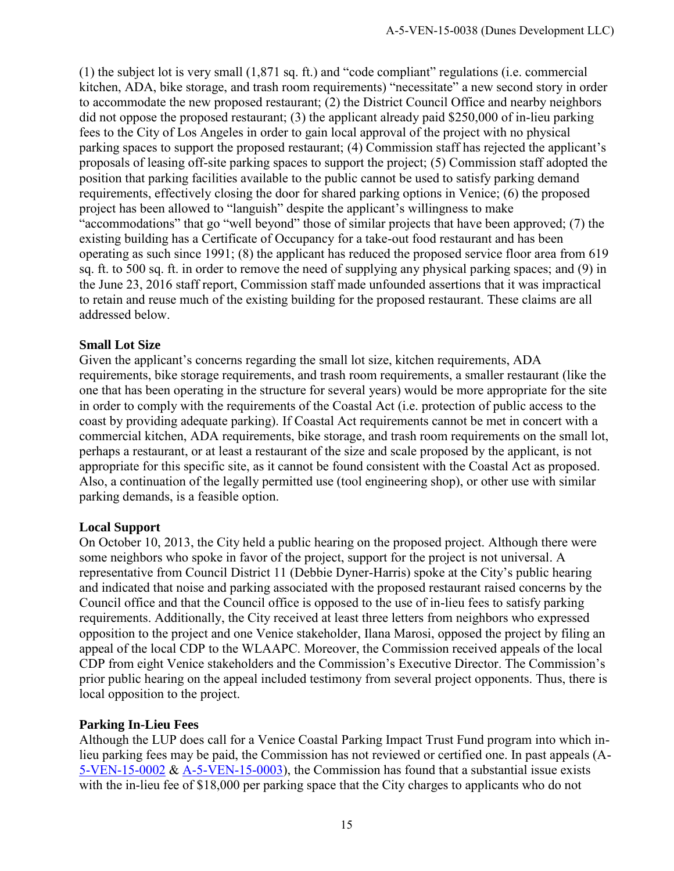(1) the subject lot is very small (1,871 sq. ft.) and "code compliant" regulations (i.e. commercial kitchen, ADA, bike storage, and trash room requirements) "necessitate" a new second story in order to accommodate the new proposed restaurant; (2) the District Council Office and nearby neighbors did not oppose the proposed restaurant; (3) the applicant already paid \$250,000 of in-lieu parking fees to the City of Los Angeles in order to gain local approval of the project with no physical parking spaces to support the proposed restaurant; (4) Commission staff has rejected the applicant's proposals of leasing off-site parking spaces to support the project; (5) Commission staff adopted the position that parking facilities available to the public cannot be used to satisfy parking demand requirements, effectively closing the door for shared parking options in Venice; (6) the proposed project has been allowed to "languish" despite the applicant's willingness to make "accommodations" that go "well beyond" those of similar projects that have been approved; (7) the existing building has a Certificate of Occupancy for a take-out food restaurant and has been operating as such since 1991; (8) the applicant has reduced the proposed service floor area from 619 sq. ft. to 500 sq. ft. in order to remove the need of supplying any physical parking spaces; and (9) in the June 23, 2016 staff report, Commission staff made unfounded assertions that it was impractical to retain and reuse much of the existing building for the proposed restaurant. These claims are all addressed below.

#### **Small Lot Size**

Given the applicant's concerns regarding the small lot size, kitchen requirements, ADA requirements, bike storage requirements, and trash room requirements, a smaller restaurant (like the one that has been operating in the structure for several years) would be more appropriate for the site in order to comply with the requirements of the Coastal Act (i.e. protection of public access to the coast by providing adequate parking). If Coastal Act requirements cannot be met in concert with a commercial kitchen, ADA requirements, bike storage, and trash room requirements on the small lot, perhaps a restaurant, or at least a restaurant of the size and scale proposed by the applicant, is not appropriate for this specific site, as it cannot be found consistent with the Coastal Act as proposed. Also, a continuation of the legally permitted use (tool engineering shop), or other use with similar parking demands, is a feasible option.

#### **Local Support**

On October 10, 2013, the City held a public hearing on the proposed project. Although there were some neighbors who spoke in favor of the project, support for the project is not universal. A representative from Council District 11 (Debbie Dyner-Harris) spoke at the City's public hearing and indicated that noise and parking associated with the proposed restaurant raised concerns by the Council office and that the Council office is opposed to the use of in-lieu fees to satisfy parking requirements. Additionally, the City received at least three letters from neighbors who expressed opposition to the project and one Venice stakeholder, Ilana Marosi, opposed the project by filing an appeal of the local CDP to the WLAAPC. Moreover, the Commission received appeals of the local CDP from eight Venice stakeholders and the Commission's Executive Director. The Commission's prior public hearing on the appeal included testimony from several project opponents. Thus, there is local opposition to the project.

#### **Parking In-Lieu Fees**

Although the LUP does call for a Venice Coastal Parking Impact Trust Fund program into which inlieu parking fees may be paid, the Commission has not reviewed or certified one. In past appeals (A-[5-VEN-15-0002](https://documents.coastal.ca.gov/reports/2015/2/th26a-2-2015.pdf) & [A-5-VEN-15-0003\)](https://documents.coastal.ca.gov/reports/2015/2/th26b-2-2015.pdf), the Commission has found that a substantial issue exists with the in-lieu fee of \$18,000 per parking space that the City charges to applicants who do not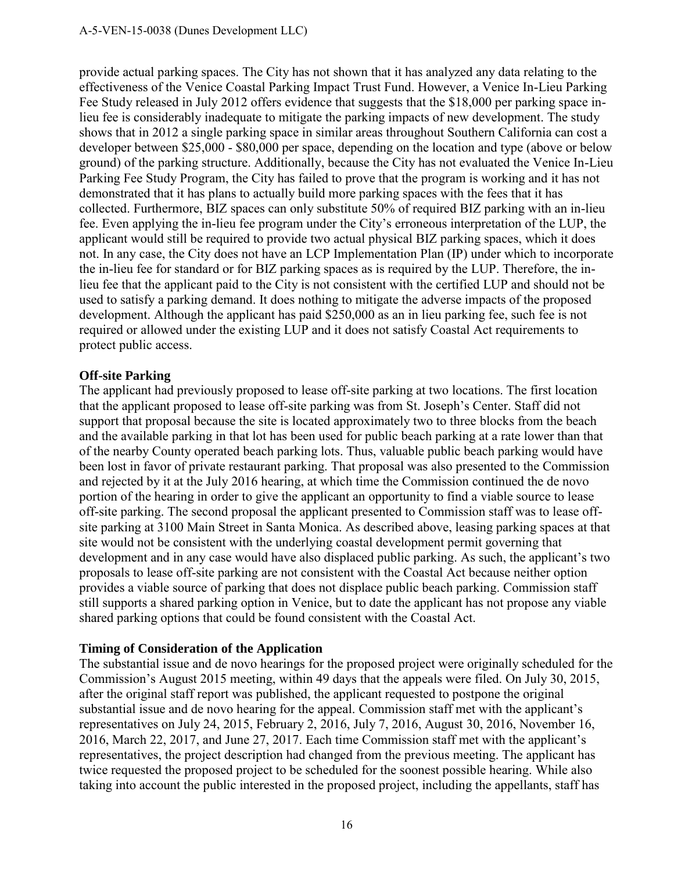provide actual parking spaces. The City has not shown that it has analyzed any data relating to the effectiveness of the Venice Coastal Parking Impact Trust Fund. However, a Venice In-Lieu Parking Fee Study released in July 2012 offers evidence that suggests that the \$18,000 per parking space inlieu fee is considerably inadequate to mitigate the parking impacts of new development. The study shows that in 2012 a single parking space in similar areas throughout Southern California can cost a developer between \$25,000 - \$80,000 per space, depending on the location and type (above or below ground) of the parking structure. Additionally, because the City has not evaluated the Venice In-Lieu Parking Fee Study Program, the City has failed to prove that the program is working and it has not demonstrated that it has plans to actually build more parking spaces with the fees that it has collected. Furthermore, BIZ spaces can only substitute 50% of required BIZ parking with an in-lieu fee. Even applying the in-lieu fee program under the City's erroneous interpretation of the LUP, the applicant would still be required to provide two actual physical BIZ parking spaces, which it does not. In any case, the City does not have an LCP Implementation Plan (IP) under which to incorporate the in-lieu fee for standard or for BIZ parking spaces as is required by the LUP. Therefore, the inlieu fee that the applicant paid to the City is not consistent with the certified LUP and should not be used to satisfy a parking demand. It does nothing to mitigate the adverse impacts of the proposed development. Although the applicant has paid \$250,000 as an in lieu parking fee, such fee is not required or allowed under the existing LUP and it does not satisfy Coastal Act requirements to protect public access.

#### **Off-site Parking**

The applicant had previously proposed to lease off-site parking at two locations. The first location that the applicant proposed to lease off-site parking was from St. Joseph's Center. Staff did not support that proposal because the site is located approximately two to three blocks from the beach and the available parking in that lot has been used for public beach parking at a rate lower than that of the nearby County operated beach parking lots. Thus, valuable public beach parking would have been lost in favor of private restaurant parking. That proposal was also presented to the Commission and rejected by it at the July 2016 hearing, at which time the Commission continued the de novo portion of the hearing in order to give the applicant an opportunity to find a viable source to lease off-site parking. The second proposal the applicant presented to Commission staff was to lease offsite parking at 3100 Main Street in Santa Monica. As described above, leasing parking spaces at that site would not be consistent with the underlying coastal development permit governing that development and in any case would have also displaced public parking. As such, the applicant's two proposals to lease off-site parking are not consistent with the Coastal Act because neither option provides a viable source of parking that does not displace public beach parking. Commission staff still supports a shared parking option in Venice, but to date the applicant has not propose any viable shared parking options that could be found consistent with the Coastal Act.

#### **Timing of Consideration of the Application**

The substantial issue and de novo hearings for the proposed project were originally scheduled for the Commission's August 2015 meeting, within 49 days that the appeals were filed. On July 30, 2015, after the original staff report was published, the applicant requested to postpone the original substantial issue and de novo hearing for the appeal. Commission staff met with the applicant's representatives on July 24, 2015, February 2, 2016, July 7, 2016, August 30, 2016, November 16, 2016, March 22, 2017, and June 27, 2017. Each time Commission staff met with the applicant's representatives, the project description had changed from the previous meeting. The applicant has twice requested the proposed project to be scheduled for the soonest possible hearing. While also taking into account the public interested in the proposed project, including the appellants, staff has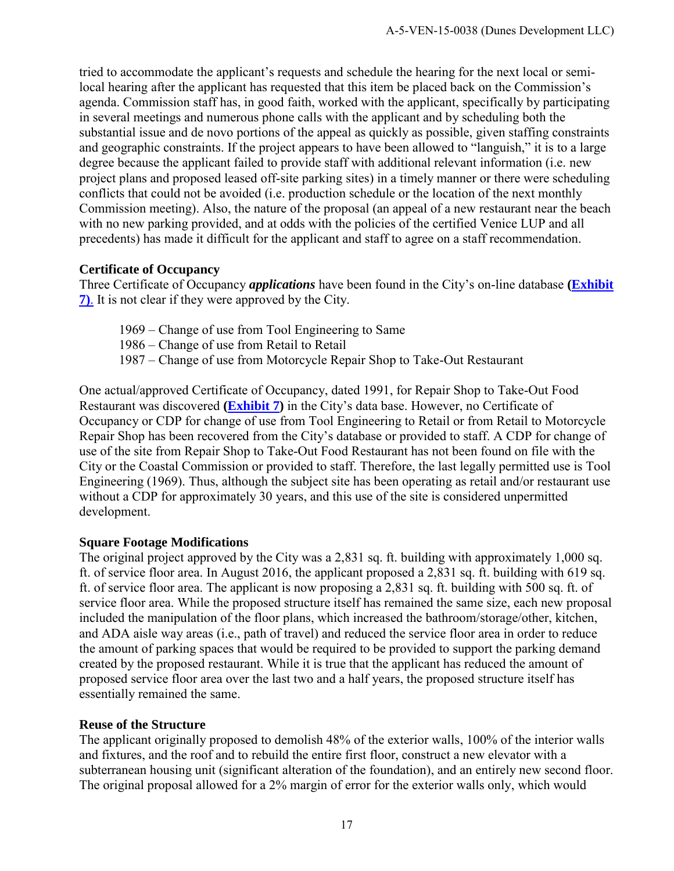tried to accommodate the applicant's requests and schedule the hearing for the next local or semilocal hearing after the applicant has requested that this item be placed back on the Commission's agenda. Commission staff has, in good faith, worked with the applicant, specifically by participating in several meetings and numerous phone calls with the applicant and by scheduling both the substantial issue and de novo portions of the appeal as quickly as possible, given staffing constraints and geographic constraints. If the project appears to have been allowed to "languish," it is to a large degree because the applicant failed to provide staff with additional relevant information (i.e. new project plans and proposed leased off-site parking sites) in a timely manner or there were scheduling conflicts that could not be avoided (i.e. production schedule or the location of the next monthly Commission meeting). Also, the nature of the proposal (an appeal of a new restaurant near the beach with no new parking provided, and at odds with the policies of the certified Venice LUP and all precedents) has made it difficult for the applicant and staff to agree on a staff recommendation.

#### **Certificate of Occupancy**

Three Certificate of Occupancy *applications* have been found in the City's on-line database **[\(Exhibit](https://documents.coastal.ca.gov/reports/2017/12/Th10a/Th10a-12-2017-exhibits.pdf)  [7\)](https://documents.coastal.ca.gov/reports/2017/12/Th10a/Th10a-12-2017-exhibits.pdf)**. It is not clear if they were approved by the City.

- 1969 Change of use from Tool Engineering to Same
- 1986 Change of use from Retail to Retail
- 1987 Change of use from Motorcycle Repair Shop to Take-Out Restaurant

One actual/approved Certificate of Occupancy, dated 1991, for Repair Shop to Take-Out Food Restaurant was discovered **[\(Exhibit 7\)](https://documents.coastal.ca.gov/reports/2017/12/Th10a/Th10a-12-2017-exhibits.pdf)** in the City's data base. However, no Certificate of Occupancy or CDP for change of use from Tool Engineering to Retail or from Retail to Motorcycle Repair Shop has been recovered from the City's database or provided to staff. A CDP for change of use of the site from Repair Shop to Take-Out Food Restaurant has not been found on file with the City or the Coastal Commission or provided to staff. Therefore, the last legally permitted use is Tool Engineering (1969). Thus, although the subject site has been operating as retail and/or restaurant use without a CDP for approximately 30 years, and this use of the site is considered unpermitted development.

#### **Square Footage Modifications**

The original project approved by the City was a 2,831 sq. ft. building with approximately 1,000 sq. ft. of service floor area. In August 2016, the applicant proposed a 2,831 sq. ft. building with 619 sq. ft. of service floor area. The applicant is now proposing a 2,831 sq. ft. building with 500 sq. ft. of service floor area. While the proposed structure itself has remained the same size, each new proposal included the manipulation of the floor plans, which increased the bathroom/storage/other, kitchen, and ADA aisle way areas (i.e., path of travel) and reduced the service floor area in order to reduce the amount of parking spaces that would be required to be provided to support the parking demand created by the proposed restaurant. While it is true that the applicant has reduced the amount of proposed service floor area over the last two and a half years, the proposed structure itself has essentially remained the same.

#### **Reuse of the Structure**

The applicant originally proposed to demolish 48% of the exterior walls, 100% of the interior walls and fixtures, and the roof and to rebuild the entire first floor, construct a new elevator with a subterranean housing unit (significant alteration of the foundation), and an entirely new second floor. The original proposal allowed for a 2% margin of error for the exterior walls only, which would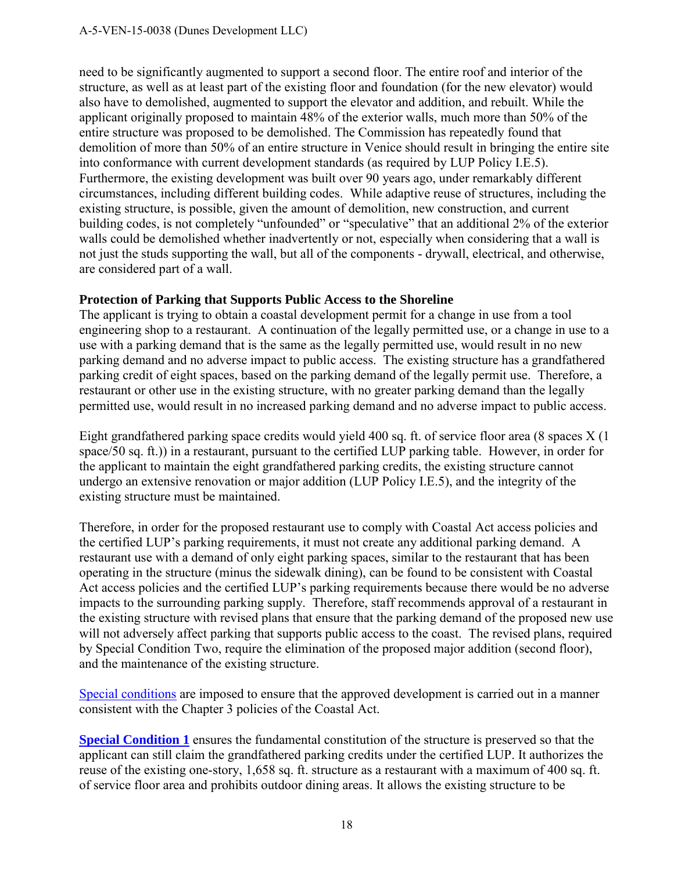need to be significantly augmented to support a second floor. The entire roof and interior of the structure, as well as at least part of the existing floor and foundation (for the new elevator) would also have to demolished, augmented to support the elevator and addition, and rebuilt. While the applicant originally proposed to maintain 48% of the exterior walls, much more than 50% of the entire structure was proposed to be demolished. The Commission has repeatedly found that demolition of more than 50% of an entire structure in Venice should result in bringing the entire site into conformance with current development standards (as required by LUP Policy I.E.5). Furthermore, the existing development was built over 90 years ago, under remarkably different circumstances, including different building codes. While adaptive reuse of structures, including the existing structure, is possible, given the amount of demolition, new construction, and current building codes, is not completely "unfounded" or "speculative" that an additional 2% of the exterior walls could be demolished whether inadvertently or not, especially when considering that a wall is not just the studs supporting the wall, but all of the components - drywall, electrical, and otherwise, are considered part of a wall.

#### **Protection of Parking that Supports Public Access to the Shoreline**

The applicant is trying to obtain a coastal development permit for a change in use from a tool engineering shop to a restaurant. A continuation of the legally permitted use, or a change in use to a use with a parking demand that is the same as the legally permitted use, would result in no new parking demand and no adverse impact to public access. The existing structure has a grandfathered parking credit of eight spaces, based on the parking demand of the legally permit use. Therefore, a restaurant or other use in the existing structure, with no greater parking demand than the legally permitted use, would result in no increased parking demand and no adverse impact to public access.

Eight grandfathered parking space credits would yield 400 sq. ft. of service floor area (8 spaces X (1 space/50 sq. ft.)) in a restaurant, pursuant to the certified LUP parking table. However, in order for the applicant to maintain the eight grandfathered parking credits, the existing structure cannot undergo an extensive renovation or major addition (LUP Policy I.E.5), and the integrity of the existing structure must be maintained.

Therefore, in order for the proposed restaurant use to comply with Coastal Act access policies and the certified LUP's parking requirements, it must not create any additional parking demand. A restaurant use with a demand of only eight parking spaces, similar to the restaurant that has been operating in the structure (minus the sidewalk dining), can be found to be consistent with Coastal Act access policies and the certified LUP's parking requirements because there would be no adverse impacts to the surrounding parking supply. Therefore, staff recommends approval of a restaurant in the existing structure with revised plans that ensure that the parking demand of the proposed new use will not adversely affect parking that supports public access to the coast. The revised plans, required by Special Condition Two, require the elimination of the proposed major addition (second floor), and the maintenance of the existing structure.

[Special conditions](#page-4-0) are imposed to ensure that the approved development is carried out in a manner consistent with the Chapter 3 policies of the Coastal Act.

**[Special Condition 1](#page-4-1)** ensures the fundamental constitution of the structure is preserved so that the applicant can still claim the grandfathered parking credits under the certified LUP. It authorizes the reuse of the existing one-story, 1,658 sq. ft. structure as a restaurant with a maximum of 400 sq. ft. of service floor area and prohibits outdoor dining areas. It allows the existing structure to be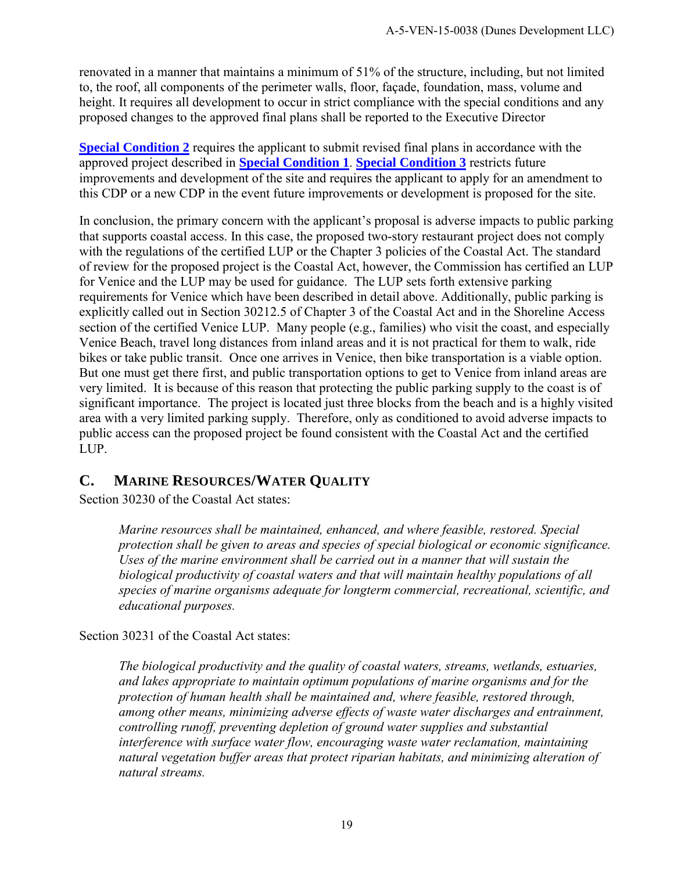renovated in a manner that maintains a minimum of 51% of the structure, including, but not limited to, the roof, all components of the perimeter walls, floor, façade, foundation, mass, volume and height. It requires all development to occur in strict compliance with the special conditions and any proposed changes to the approved final plans shall be reported to the Executive Director

**[Special Condition 2](#page-4-2)** requires the applicant to submit revised final plans in accordance with the approved project described in **[Special Condition 1](#page-4-1)**. **[Special Condition 3](#page-4-3)** restricts future improvements and development of the site and requires the applicant to apply for an amendment to this CDP or a new CDP in the event future improvements or development is proposed for the site.

In conclusion, the primary concern with the applicant's proposal is adverse impacts to public parking that supports coastal access. In this case, the proposed two-story restaurant project does not comply with the regulations of the certified LUP or the Chapter 3 policies of the Coastal Act. The standard of review for the proposed project is the Coastal Act, however, the Commission has certified an LUP for Venice and the LUP may be used for guidance. The LUP sets forth extensive parking requirements for Venice which have been described in detail above. Additionally, public parking is explicitly called out in Section 30212.5 of Chapter 3 of the Coastal Act and in the Shoreline Access section of the certified Venice LUP. Many people (e.g., families) who visit the coast, and especially Venice Beach, travel long distances from inland areas and it is not practical for them to walk, ride bikes or take public transit. Once one arrives in Venice, then bike transportation is a viable option. But one must get there first, and public transportation options to get to Venice from inland areas are very limited. It is because of this reason that protecting the public parking supply to the coast is of significant importance. The project is located just three blocks from the beach and is a highly visited area with a very limited parking supply. Therefore, only as conditioned to avoid adverse impacts to public access can the proposed project be found consistent with the Coastal Act and the certified LUP.

## <span id="page-18-0"></span>**C. MARINE RESOURCES/WATER QUALITY**

Section 30230 of the Coastal Act states:

*Marine resources shall be maintained, enhanced, and where feasible, restored. Special protection shall be given to areas and species of special biological or economic significance. Uses of the marine environment shall be carried out in a manner that will sustain the biological productivity of coastal waters and that will maintain healthy populations of all species of marine organisms adequate for longterm commercial, recreational, scientific, and educational purposes.* 

Section 30231 of the Coastal Act states:

*The biological productivity and the quality of coastal waters, streams, wetlands, estuaries, and lakes appropriate to maintain optimum populations of marine organisms and for the protection of human health shall be maintained and, where feasible, restored through, among other means, minimizing adverse effects of waste water discharges and entrainment, controlling runoff, preventing depletion of ground water supplies and substantial interference with surface water flow, encouraging waste water reclamation, maintaining natural vegetation buffer areas that protect riparian habitats, and minimizing alteration of natural streams.*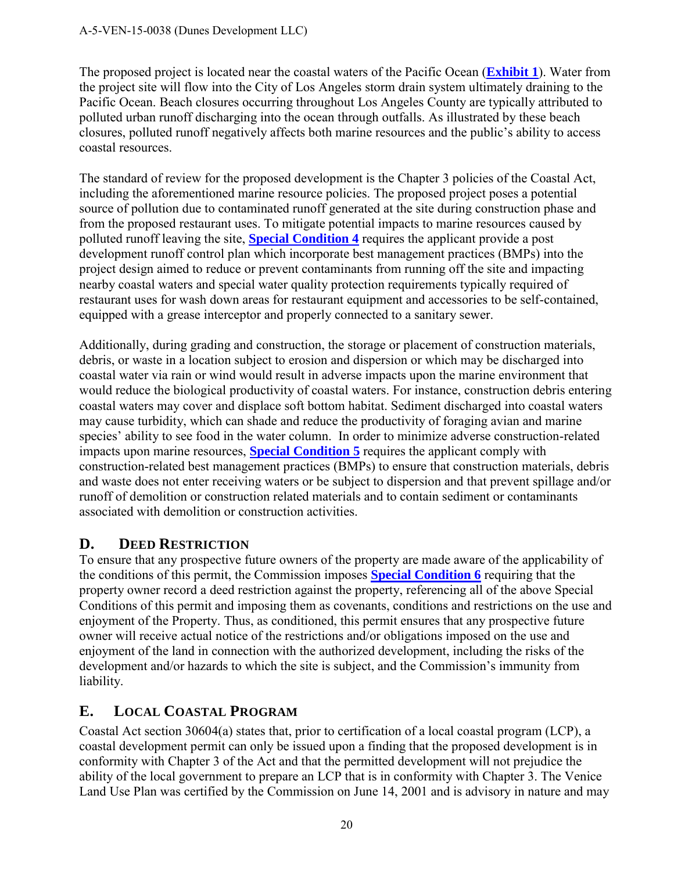The proposed project is located near the coastal waters of the Pacific Ocean (**[Exhibit 1](https://documents.coastal.ca.gov/reports/2017/12/Th10a/Th10a-12-2017-exhibits.pdf)**). Water from the project site will flow into the City of Los Angeles storm drain system ultimately draining to the Pacific Ocean. Beach closures occurring throughout Los Angeles County are typically attributed to polluted urban runoff discharging into the ocean through outfalls. As illustrated by these beach closures, polluted runoff negatively affects both marine resources and the public's ability to access coastal resources.

The standard of review for the proposed development is the Chapter 3 policies of the Coastal Act, including the aforementioned marine resource policies. The proposed project poses a potential source of pollution due to contaminated runoff generated at the site during construction phase and from the proposed restaurant uses. To mitigate potential impacts to marine resources caused by polluted runoff leaving the site, **[Special Condition 4](#page-5-0)** requires the applicant provide a post development runoff control plan which incorporate best management practices (BMPs) into the project design aimed to reduce or prevent contaminants from running off the site and impacting nearby coastal waters and special water quality protection requirements typically required of restaurant uses for wash down areas for restaurant equipment and accessories to be self-contained, equipped with a grease interceptor and properly connected to a sanitary sewer.

Additionally, during grading and construction, the storage or placement of construction materials, debris, or waste in a location subject to erosion and dispersion or which may be discharged into coastal water via rain or wind would result in adverse impacts upon the marine environment that would reduce the biological productivity of coastal waters. For instance, construction debris entering coastal waters may cover and displace soft bottom habitat. Sediment discharged into coastal waters may cause turbidity, which can shade and reduce the productivity of foraging avian and marine species' ability to see food in the water column. In order to minimize adverse construction-related impacts upon marine resources, **[Special Condition 5](#page-6-0)** requires the applicant comply with construction-related best management practices (BMPs) to ensure that construction materials, debris and waste does not enter receiving waters or be subject to dispersion and that prevent spillage and/or runoff of demolition or construction related materials and to contain sediment or contaminants associated with demolition or construction activities.

## <span id="page-19-0"></span>**D. DEED RESTRICTION**

To ensure that any prospective future owners of the property are made aware of the applicability of the conditions of this permit, the Commission imposes **[Special Condition 6](#page-7-0)** requiring that the property owner record a deed restriction against the property, referencing all of the above Special Conditions of this permit and imposing them as covenants, conditions and restrictions on the use and enjoyment of the Property. Thus, as conditioned, this permit ensures that any prospective future owner will receive actual notice of the restrictions and/or obligations imposed on the use and enjoyment of the land in connection with the authorized development, including the risks of the development and/or hazards to which the site is subject, and the Commission's immunity from liability.

## <span id="page-19-1"></span>**E. LOCAL COASTAL PROGRAM**

Coastal Act section 30604(a) states that, prior to certification of a local coastal program (LCP), a coastal development permit can only be issued upon a finding that the proposed development is in conformity with Chapter 3 of the Act and that the permitted development will not prejudice the ability of the local government to prepare an LCP that is in conformity with Chapter 3. The Venice Land Use Plan was certified by the Commission on June 14, 2001 and is advisory in nature and may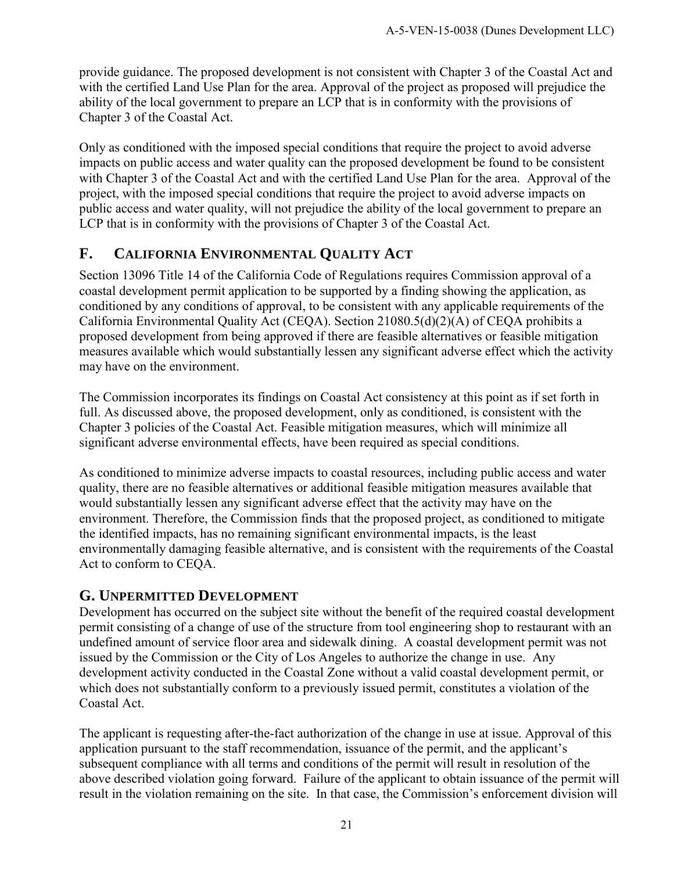provide guidance. The proposed development is not consistent with Chapter 3 of the Coastal Act and with the certified Land Use Plan for the area. Approval of the project as proposed will prejudice the ability of the local government to prepare an LCP that is in conformity with the provisions of Chapter 3 of the Coastal Act.

Only as conditioned with the imposed special conditions that require the project to avoid adverse impacts on public access and water quality can the proposed development be found to be consistent with Chapter 3 of the Coastal Act and with the certified Land Use Plan for the area. Approval of the project, with the imposed special conditions that require the project to avoid adverse impacts on public access and water quality, will not prejudice the ability of the local government to prepare an LCP that is in conformity with the provisions of Chapter 3 of the Coastal Act.

## <span id="page-20-0"></span>**F. CALIFORNIA ENVIRONMENTAL QUALITY ACT**

Section 13096 Title 14 of the California Code of Regulations requires Commission approval of a coastal development permit application to be supported by a finding showing the application, as conditioned by any conditions of approval, to be consistent with any applicable requirements of the California Environmental Quality Act (CEQA). Section 21080.5(d)(2)(A) of CEQA prohibits a proposed development from being approved if there are feasible alternatives or feasible mitigation measures available which would substantially lessen any significant adverse effect which the activity may have on the environment.

The Commission incorporates its findings on Coastal Act consistency at this point as if set forth in full. As discussed above, the proposed development, only as conditioned, is consistent with the Chapter 3 policies of the Coastal Act. Feasible mitigation measures, which will minimize all significant adverse environmental effects, have been required as special conditions.

As conditioned to minimize adverse impacts to coastal resources, including public access and water quality, there are no feasible alternatives or additional feasible mitigation measures available that would substantially lessen any significant adverse effect that the activity may have on the environment. Therefore, the Commission finds that the proposed project, as conditioned to mitigate the identified impacts, has no remaining significant environmental impacts, is the least environmentally damaging feasible alternative, and is consistent with the requirements of the Coastal Act to conform to CEQA.

#### <span id="page-20-1"></span>**G. UNPERMITTED DEVELOPMENT**

Development has occurred on the subject site without the benefit of the required coastal development permit consisting of a change of use of the structure from tool engineering shop to restaurant with an undefined amount of service floor area and sidewalk dining. A coastal development permit was not issued by the Commission or the City of Los Angeles to authorize the change in use. Any development activity conducted in the Coastal Zone without a valid coastal development permit, or which does not substantially conform to a previously issued permit, constitutes a violation of the Coastal Act.

The applicant is requesting after-the-fact authorization of the change in use at issue. Approval of this application pursuant to the staff recommendation, issuance of the permit, and the applicant's subsequent compliance with all terms and conditions of the permit will result in resolution of the above described violation going forward. Failure of the applicant to obtain issuance of the permit will result in the violation remaining on the site. In that case, the Commission's enforcement division will